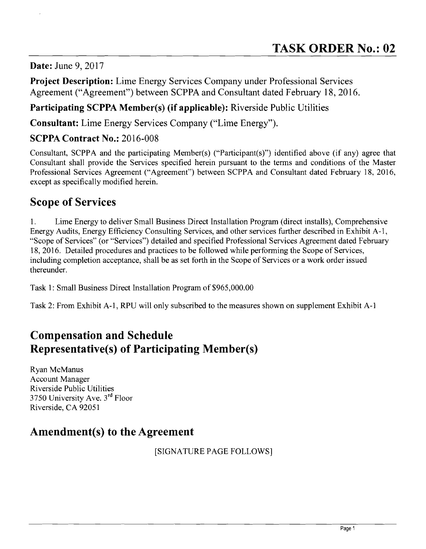#### **Date:** June 9, 2017

**Project Description:** Lime Energy Services Company under Professional Services Agreement ("Agreement") between SCPPA and Consultant dated February 18,2016.

### **Participating SCPPA Member(s) (if applicable):** Riverside Public Utilities

**Consultant:** Lime Energy Services Company ("Lime Energy").

#### **SCPPA Contract No.:** 2016-008

Consultant, SCPPA and the participating Member(s) ("Participant(s)") identified above (if any) agree that Consultant shall provide the Services specified herein pursuant to the terms and conditions of the Master Professional Services Agreement ("Agreement") between SCPPA and Consultant dated February 18, 2016, except as specifically modified herein.

# **Scope of Services**

1. Lime Energy to deliver Small Business Direct Installation Program (direct installs), Comprehensive Energy Audits, Energy Efficiency Consulting Services, and other services further described in Exhibit A-I, "Scope of Services" (or "Services") detailed and specified Professional Services Agreement dated February 18, 2016. Detailed procedures and practices to be followed while performing the Scope of Services, including completion acceptance, shall be as set forth in the Scope of Services or a work order issued thereunder.

Task 1: Small Business Direct Installation Program of \$965,000.00

Task 2: From Exhibit A-I, RPU will only subscribed to the measures shown on supplement Exhibit A-I

# **Compensation and Schedule Representative(s) of Participating Member(s)**

Ryan McManus Account Manager Riverside Public Utilities 3750 University Ave. 3rd Floor Riverside, CA 92051

# **Amendment(s) to the Agreement**

[SIGNATURE PAGE FOLLOWS]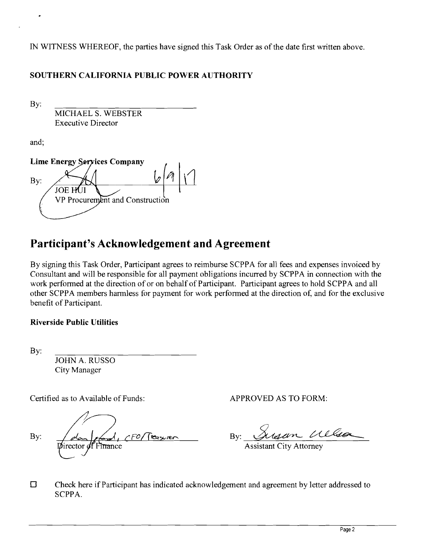IN WITNESS WHEREOF, the parties have signed this Task Order as of the date first written above.

#### **SOUTHERN CALIFORNIA PUBLIC POWER AUTHORITY**

By:

MICHAEL S. WEBSTER Executive Director

and;

**Lime Energy Services Company** By: **JOE HUI** VP Procurement and Construction

# **Participant's Acknowledgement and Agreement**

By signing this Task Order, Participant agrees to reimburse SCPPA for all fees and expenses invoiced by Consultant and will be responsible for all payment obligations incurred by SCPPA in connection with the work performed at the direction of or on behalf of Participant. Participant agrees to hold SCPPA and all other SCPPA members harmless for payment for work performed at the direction of, and for the exclusive benefit of Participant.

#### **Riverside Public Utilities**

By:

JOHN A. RUSSO City Manager

Certified as to Available of Funds: APPROVED AS TO FORM:

By:  $\frac{\partial u}{\partial x}$  For Traver By: Sussen Wllson

 $\square$  Check here if Participant has indicated acknowledgement and agreement by letter addressed to SCPPA.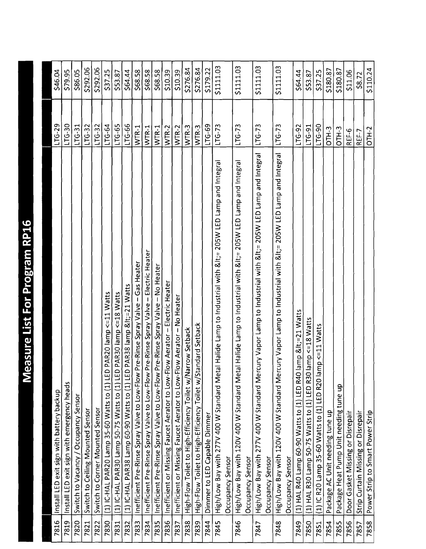| ĺ                                                                                                                                                     |  |
|-------------------------------------------------------------------------------------------------------------------------------------------------------|--|
| <b>CHECK</b><br>ļ<br>$\overline{a}$                                                                                                                   |  |
| l<br>֧֧֧֧֧֧֧֧֧֧֧֧֧֧֚֚֚֚֚֚֚֚֚֚֚֚֚֚֚֚֚֚֚֚֬֝֓֝֬֝֬֝֬֝֬֝֬֝֬֝֓֝֬֝֬֝֬֝֬֝֬                                                                                    |  |
| i<br>İ                                                                                                                                                |  |
|                                                                                                                                                       |  |
|                                                                                                                                                       |  |
| j<br>l                                                                                                                                                |  |
| ľ                                                                                                                                                     |  |
| J<br>(Separate de la construcción).<br>En la construcción de la construcción de la construcción de la construcción de la construcción de la construcc |  |
|                                                                                                                                                       |  |
| <b>CACA</b><br>)<br>                                                                                                                                  |  |
|                                                                                                                                                       |  |
|                                                                                                                                                       |  |

| 7816 | Install LED exit sign with battery backup                                                                       | $LTG-29$ | \$46.04   |
|------|-----------------------------------------------------------------------------------------------------------------|----------|-----------|
| 7819 | Install LED exit sign with emergency heads                                                                      | LTG-30   | \$79.95   |
| 7820 | Switch to Vacancy / Occupancy Sensor                                                                            | $LTG-31$ | \$86.05   |
| 7821 | Switch to Ceiling Mounted Sensor                                                                                | $LTG-32$ | \$292.06  |
| 7822 | Switch to Corner Mounted Sensor                                                                                 | $LTG-32$ | \$292.06  |
| 7830 | (1) IC-HAL PAR20 Lamp 35-60 Watts to (1) LED PAR20 lamp <= 11 Watts                                             | LG-64    | \$37.25   |
| 7831 | (1) IC-HAL PAR30 Lamp 50-75 Watts to (1) LED PAR30 lamp <= 18 Watts                                             | $LTC-65$ | \$53.87   |
| 7832 | (1) IC-HAL PAR38 Lamp 60-90 Watts to (1) LED PAR38 lamp &It=21 Watts                                            | LTG-66   | \$64.44   |
| 7833 | Pre-Rinse Spray Valve - Gas Heater<br>Inefficient Pre-Rinse Spray Valve to Low-Flow                             | WTR-1    | \$68.58   |
| 7834 | Pre-Rinse Spray Valve - Electric Heater<br>Inefficient Pre-Rinse Spray Valve to Low-Flow                        | WTR-1    | \$68.58   |
| 7835 | Pre-Rinse Spray Valve - No Heater<br>Inefficient Pre-Rinse Spray Valve to Low-Flow                              | WTR-1    | \$68.58   |
| 7836 | Inefficient or Missing Faucet Aerator to Low-Flow Aerator - Electric Heater                                     | WTR-2    | \$10.39   |
| 7837 | Inefficient or Missing Faucet Aerator to Low-Flow Aerator - No Heater                                           | $WTR-2$  | \$10.39   |
| 7838 | High-Flow Toilet to High-Efficiency Toilet w/Narrow Setback                                                     | WTR-3    | \$276.84  |
| 7839 | High-Flow Toilet to High-Efficiency Toilet w/Standard Setback                                                   | WTR-3    | \$276.84  |
| 7844 | Dimmer to LED Capable Dimmer                                                                                    | $LTG-69$ | \$179.22  |
| 7845 | High/Low Bay with 277V 400 W Standard Metal Halide Lamp to Industrial with <= 205W LED Lamp and Integral        | $LTG-73$ | \$1111.03 |
|      | Occupancy Sensor                                                                                                |          |           |
| 7846 | High/Low Bay with 120V 400 W Standard Metal Halide Lamp to Industrial with <= 205W LED Lamp and Integral        | $LTG-73$ | \$1111.03 |
|      | Occupancy Sensor                                                                                                |          |           |
| 7847 | High/Low Bay with 277V 400 W Standard Mercury Vapor Lamp to Industrial with &It= 205W LED Lamp and Integral     | $LTG-73$ | \$1111.03 |
|      | Occupancy Sensor                                                                                                |          |           |
| 7848 | cury Vapor Lamp to Industrial with &It= 205W LED Lamp and Integral<br>High/Low Bay with 120V 400 W Standard Mer | $LTG-73$ | \$1111.03 |
|      | Occupancy Sensor                                                                                                |          |           |
| 7849 | lamp <=21 Watts<br>(1) HAL R40 Lamp 60-90 Watts to (1) LED R40                                                  | LTG-92   | \$64.44   |
| 7850 | lamp <= 18 Watts<br>(1) HAL R30 Lamp 50-75 Watts to (1) LED R30                                                 | LTG-91   | \$53.87   |
| 7851 | $mp < = 11$ Watts<br>(1) IC R20 Lamp 35-60 Watts to (1) LED R20 la                                              | LTG-90   | \$37.25   |
| 7854 | Package AC Unit needing tune up                                                                                 | $OTH-3$  | \$180.87  |
| 7855 | Package Heat Pump Unit needing tune up                                                                          | $OTH-3$  | \$180.87  |
| 7856 | Door Gasket Missing or Disrepair                                                                                | REF-6    | \$11.06   |
| 7857 | Strip Curtain Missing or Disrepair                                                                              | REF-7    | \$8.72    |
| 7858 | Power Strip to Smart Power Strip                                                                                | $OTH-2$  | \$110.24  |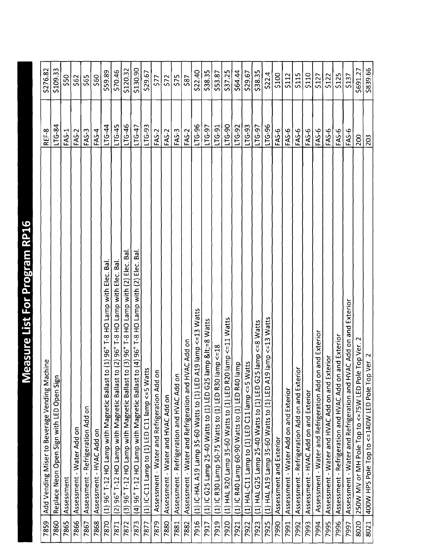| Ŀ<br>ĺ<br>į<br>Ì                   |
|------------------------------------|
|                                    |
| ı                                  |
| ı                                  |
|                                    |
| <b>Contract of the Season</b><br>j |
|                                    |
|                                    |
| ֚֚֚֬<br>1                          |
|                                    |
| ı<br>Ì                             |
| I                                  |
| l                                  |
| İ                                  |
| Ì                                  |
|                                    |
|                                    |
|                                    |
| í<br>c                             |
| l                                  |
| ŗ<br>q<br>ļ                        |
|                                    |
| $\left($                           |
| ׅ֚֡֡֡֡֝<br>j<br>à                  |
|                                    |
| ï                                  |
| I<br>l                             |
| l                                  |

| 7859 | Add Vending Miser to Beverage Vending Machine                                                  | REF-8            | \$276.82       |
|------|------------------------------------------------------------------------------------------------|------------------|----------------|
| 7860 | Replace Neon Open Sign with LED Open Sign                                                      | $-5 - 51$        | \$109.33       |
| 7865 | Assessment                                                                                     | <b>FAS-1</b>     | \$50           |
| 7866 | Assessment - Water Add on                                                                      | FAS-2            | \$62           |
| 7867 | Assessment - Refrigeration Add on                                                              | FAS-3            | \$65           |
| 7868 | Assessment - HVAC Add on                                                                       | $FAS-4$          | \$60           |
| 7870 | $(1)$ 96" T-12 HO Lamp with Magnetic Ballast to $(1)$ 96" T-8 HO Lamp with Elec. Bal           | LG-44            | \$59.89        |
| 7871 | (2) 96" T-12 HO Lamp with Magnetic Ballast to (2) 96" T-8 HO Lamp with Elec. Bal               | $LTG-45$         | \$70.46        |
| 7872 | <b>G</b> a<br>(3) 96" T-12 HO Lamp with Magnetic Ballast to (3) 96" T-8 HO Lamp with (2) Elec. | $1TG-46$         | \$120.32       |
| 7873 | (4) 96" T-12 HO Lamp with Magnetic Ballast to (4) 96" T-8 HO Lamp with (2) Elec. Bal           | $1TG-47$         | \$130.90       |
| 7877 | $\mathbf{c}$<br>(1) IC-C11 Lamp to (1) LED C11 lamp <= 5 Wat                                   | $LTG-93$         | \$29.67        |
| 7879 | $\blacksquare$<br>Assessment - Water and Refrigeration Add or                                  | FAS-2            | \$77           |
| 7880 | Assessment - Water and HVAC Add on                                                             | FAS-2            | \$72           |
| 7881 | Assessment - Refrigeration and HVAC Add on                                                     | $FAS-3$          | 575            |
| 7882 | AC Add on<br>Assessment - Water and Refrigeration and HV                                       | FAS-2            | \$87           |
| 7916 | (1) IC-HAL A19 Lamp 35-60 Watts to (1) LED A19 lamp <= 13 Watts                                | LTG-96           | \$22.40        |
| 7917 | (1) IC G25 Lamp 25-40 Watts to (1) LED G25 lamp <=8 Watts                                      | $C - 97$         | <b>\$38.35</b> |
| 7919 | (1) IC R30 Lamp 50-75 Watts to (1) LED R30 lamp $<$ =18 $\,$                                   | LTG-91           | \$53.87        |
| 7920 | lamp <= 11 Watts<br>(1) HAL R20 Lamp 35-60 Watts to (1) LED R20                                | <b>CG-50</b>     | \$37.25        |
| 7921 | (1) IC R40 Lamp 60-90 Watts to (1) LED R40 lamp                                                | LTG-92           | \$64.44        |
| 7922 | (1) HAL-C11 Lamp to (1) LED C11 lamp <= 5 Watts                                                | $LTG-93$         | \$29.67        |
| 7923 | (1) HAL G25 Lamp 25-40 Watts to (1) LED G25 lamp <= 8 Watts                                    | LTG-97           | \$38.35        |
| 7925 | <=13 Watts<br>(1) HAL A19 Lamp 35-60 Watts to (1) LED A19 lamp                                 | LTG-96           | 522.4          |
| 7990 | Assessment and Exterior                                                                        | FAS-6            | \$100          |
| 7991 | Assessment - Water Add on and Exterior                                                         | FAS-6            | \$112          |
| 7992 | Assessment - Refrigeration Add on and Exterior                                                 | <b>FAS-6</b>     | \$115          |
| 7993 | Assessment - HVAC Add on and Exterior                                                          | FAS-6            | \$110          |
| 7994 | Assessment - Water and Refrigeration Add on and Exterior                                       | FAS-6            | \$127          |
| 7995 | Assessment - Water and HVAC Add on and Exterior                                                | FAS <sub>6</sub> | \$122          |
| 7996 | Assessment - Refrigeration and HVAC Add on and Exterior                                        | FAS-6            | \$125          |
| 7997 | AC Add on and Exterior<br>Assessment - Water and Refrigeration and HV                          | FAS-6            | <b>\$137</b>   |
| 8020 | 250W MV or MH Pole Top to <=75W LED Pole Top Ver. 2                                            | 200              | \$691.27       |
| 8021 | 400W HPS Pole Top to <=140W LED Pole Top Ver. 2                                                | 203              | \$839.66       |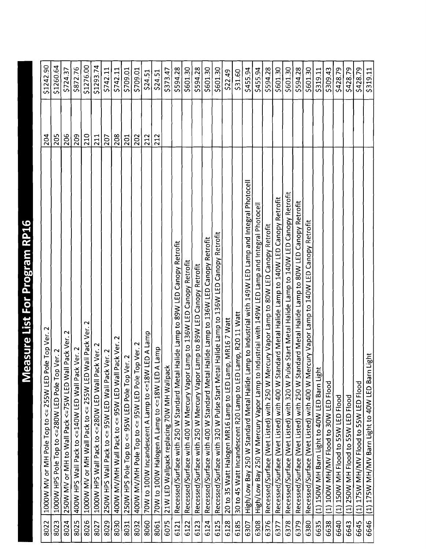| I<br>ľ                                                            |
|-------------------------------------------------------------------|
|                                                                   |
| l                                                                 |
| ĺ                                                                 |
|                                                                   |
| ĺ                                                                 |
| l                                                                 |
| l                                                                 |
| I                                                                 |
| j                                                                 |
|                                                                   |
| ł<br>ľ<br>ı                                                       |
| J                                                                 |
|                                                                   |
| ֚֚֬                                                               |
|                                                                   |
|                                                                   |
| ľ                                                                 |
|                                                                   |
| ļ<br>j<br>ı                                                       |
| l<br>֖֖֖֖֖֖ׅ֪ׅׅ֪ׅׅ֚֚֚֚֚֚֚֚֚֚֚֚֚֚֚֚֚֚֡֝֝֝֝֬֓֡֞֬֝֓֞֬֝֓֞֬֝֓֞֬֝֓֞֬֝֓֞ |
|                                                                   |
|                                                                   |
|                                                                   |
| l                                                                 |
| l<br>l                                                            |

| 8022 | 1000W MV or MH Pole Top to <= 255W LED Pole Top Ver. 2                                                | 204 | \$1242.90 |
|------|-------------------------------------------------------------------------------------------------------|-----|-----------|
| 8023 | 1000W HPS Pole Top to <=280W LED Pole Top Ver. 2                                                      | 205 | \$1260.64 |
| 8024 | 250W MV or MH to Wall Pack <= 75W LED Wall Pack Ver. 2                                                | 206 | \$724.37  |
| 8025 | 400W HPS Wall Pack to <=140W LED Wall Pack Ver. 2                                                     | 209 | \$872.76  |
| 8026 | Wall Pack Ver. 2<br>1000W MV or MH Wall Pack to <= 255W LED                                           | 210 | \$1276.00 |
| 8027 | 1000W HPS Wall Pack to <= 280W LED Wall Pack Ver. 2                                                   | 211 | 51293.74  |
| 8029 | 250W HPS Wall Pack to <= 95W LED Wall Pack Ver. 2                                                     | 207 | \$742.11  |
| 8030 | $\mathbf{\tilde{c}}$<br>Pack Ver.<br>400W MV/MH Wall Pack to <= 95W LED Wall                          | 208 | \$742.11  |
| 8031 | Ver. 2<br>250W HPS Pole Top to <= 95W LED Pole Top                                                    | 201 | \$709.01  |
| 8032 | $\mathbf{z}$<br>Top Ver.<br>400W MV/MH Pole Top to <= 95W LED Pole                                    | 202 | \$709.01  |
| 8060 | 70W to 100W Incandescent A Lamp to <=18W LED A Lamp                                                   | 212 | \$24.51   |
| 8061 | A Lamp<br>70W to 100W Halogen A Lamp to <=18W LED                                                     | 212 | \$24.51   |
| 6075 | 21W LED Wallpack replacing 70W MH Wallpack                                                            |     | \$373.47  |
| 6121 | Recessed/Surface with 250 W Standard Metal Halide Lamp to 89W LED Canopy Retrofit                     |     | \$594.28  |
| 6122 | Lamp to 136W LED Canopy Retrofit<br>Recessed/Surface with 400 W Mercury Vapor                         |     | \$601.30  |
| 6123 | Recessed/Surface with 250 W Mercury Vapor Lamp to 89W LED Canopy Retrofit                             |     | \$594.28  |
| 6124 | Recessed/Surface with 400 W Standard Metal Halide Lamp to 136W LED Canopy Retrofit                    |     | \$601.30  |
| 6125 | Recessed/Surface with 320 W Pulse Start Metal Halide Lamp to 136W LED Canopy Retrofit                 |     | \$601.30  |
| 6128 | 20 to 35 Watt Halogen MR16 Lamp to LED Lamp, MR16 7 Watt                                              |     | \$22.49   |
| 6185 | Lamp, R2011 Watt<br>30 to 45 Watt Incandescent R20 Lamp to LED                                        |     | \$31.60   |
| 6307 | High/Low Bay 250 W Standard Metal Halide Lamp to Industrial with 149W LED Lamp and Integral Photocell |     | \$455.94  |
| 6308 | High/Low Bay 250 W Mercury Vapor Lamp to Industrial with 149W LED Lamp and Integral Photocell         |     | \$455.94  |
| 6376 | Recessed/Surface (Wet Listed) with 250 W Mercury Vapor Lamp to 80W LED Canopy Retrofit                |     | \$594.28  |
| 6377 | andard Metal Halide Lamp to 140W LED Canopy Retrofit<br>Recessed/Surface (Wet Listed) with 400 W St:  |     | \$601.30  |
| 6378 | Recessed/Surface (Wet Listed) with 320 W Pulse Start Metal Halide Lamp to 140W LED Canopy Retrofit    |     | \$601.30  |
| 6379 | Recessed/Surface (Wet Listed) with 250 W Standard Metal Halide Lamp to 80W LED Canopy Retrofit        |     | \$594.28  |
| 6380 | ercury Vapor Lamp to 140W LED Canopy Retrofit<br>Recessed/Surface (Wet Listed) with 400 W M           |     | \$601.30  |
| 6635 | Ĕ<br>(1) 150W MH Barn Light to 40W LED Barn Lig                                                       |     | \$319.11  |
| 6638 | (1) 100W MH/MV Flood to 30W LED Flood                                                                 |     | \$309.43  |
| 6640 | (1) 150W MH Flood to 55W LED Flood                                                                    |     | \$428.79  |
| 6643 | (1) 250W MH Flood to 55W LED Flood                                                                    |     | \$428.79  |
| 6645 | (1) 175W MH/MY Flood to 55W LED Flood                                                                 |     | \$428.79  |
| 6646 | (1) 175W MH/MV Barn Light to 40W LED Barn Light                                                       |     | \$319.11  |